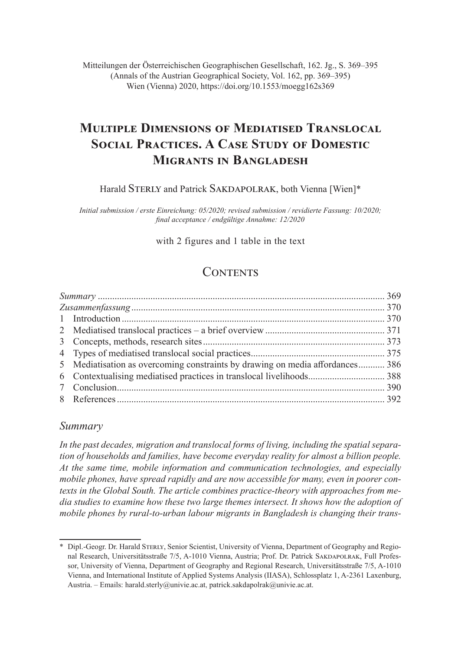Mitteilungen der Österreichischen Geographischen Gesellschaft, 162. Jg., S. 369–395 (Annals of the Austrian Geographical Society, Vol. 162, pp. 369–395) Wien (Vienna) 2020, https://doi.org/10.1553/moegg162s369

# **Multiple Dimensions of Mediatised Translocal Social Practices. A Case Study of Domestic Migrants in Bangladesh**

Harald STERLY and Patrick SAKDAPOLRAK, both Vienna [Wien]\*

*Initial submission / erste Einreichung: 05/2020; revised submission / revidierte Fassung: 10/2020; final acceptance / endgültige Annahme: 12/2020*

with 2 figures and 1 table in the text

## **CONTENTS**

| 5 Mediatisation as overcoming constraints by drawing on media affordances 386 |  |
|-------------------------------------------------------------------------------|--|
|                                                                               |  |
|                                                                               |  |
|                                                                               |  |
|                                                                               |  |

## *Summary*

*In the past decades, migration and translocal forms of living, including the spatial separation of households and families, have become everyday reality for almost a billion people. At the same time, mobile information and communication technologies, and especially mobile phones, have spread rapidly and are now accessible for many, even in poorer contexts in the Global South. The article combines practice-theory with approaches from media studies to examine how these two large themes intersect. It shows how the adoption of mobile phones by rural-to-urban labour migrants in Bangladesh is changing their trans-*

<sup>\*</sup> Dipl.-Geogr. Dr. Harald STERLY, Senior Scientist, University of Vienna, Department of Geography and Regional Research, Universitätsstraße 7/5, A-1010 Vienna, Austria; Prof. Dr. Patrick SAKDAPOLRAK, Full Professor, University of Vienna, Department of Geography and Regional Research, Universitätsstraße 7/5, A-1010 Vienna, and International Institute of Applied Systems Analysis (IIASA), Schlossplatz 1, A-2361 Laxenburg, Austria. – Emails: harald.sterly@univie.ac.at, patrick.sakdapolrak@univie.ac.at.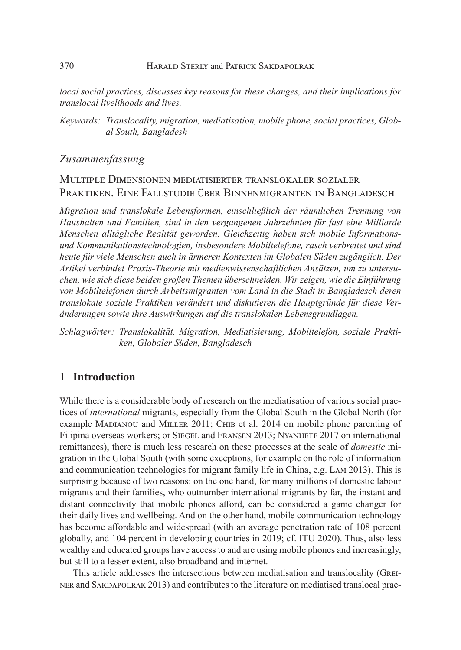*local social practices, discusses key reasons for these changes, and their implications for translocal livelihoods and lives.*

*Keywords: Translocality, migration, mediatisation, mobile phone, social practices, Global South, Bangladesh*

## *Zusammenfassung*

## Multiple Dimensionen mediatisierter translokaler sozialer Praktiken. Eine Fallstudie über Binnenmigranten in Bangladesch

*Migration und translokale Lebensformen, einschließlich der räumlichen Trennung von Haushalten und Familien, sind in den vergangenen Jahrzehnten für fast eine Milliarde Menschen alltägliche Realität geworden. Gleichzeitig haben sich mobile Informationsund Kommunikationstechnologien, insbesondere Mobiltelefone, rasch verbreitet und sind heute für viele Menschen auch in ärmeren Kontexten im Globalen Süden zugänglich. Der Artikel verbindet Praxis-Theorie mit medienwissenschaftlichen Ansätzen, um zu untersuchen, wie sich diese beiden großen Themen überschneiden. Wir zeigen, wie die Einführung von Mobiltelefonen durch Arbeitsmigranten vom Land in die Stadt in Bangladesch deren translokale soziale Praktiken verändert und diskutieren die Hauptgründe für diese Veränderungen sowie ihre Auswirkungen auf die translokalen Lebensgrundlagen.*

*Schlagwörter: Translokalität, Migration, Mediatisierung, Mobiltelefon, soziale Praktiken, Globaler Süden, Bangladesch*

## **1 Introduction**

While there is a considerable body of research on the mediatisation of various social practices of *international* migrants, especially from the Global South in the Global North (for example MADIANOU and MILLER 2011; CHIB et al. 2014 on mobile phone parenting of Filipina overseas workers; or Siegel and Fransen 2013; Nyanhete 2017 on international remittances), there is much less research on these processes at the scale of *domestic* migration in the Global South (with some exceptions, for example on the role of information and communication technologies for migrant family life in China, e.g. Lam 2013). This is surprising because of two reasons: on the one hand, for many millions of domestic labour migrants and their families, who outnumber international migrants by far, the instant and distant connectivity that mobile phones afford, can be considered a game changer for their daily lives and wellbeing. And on the other hand, mobile communication technology has become affordable and widespread (with an average penetration rate of 108 percent globally, and 104 percent in developing countries in 2019; cf. ITU 2020). Thus, also less wealthy and educated groups have access to and are using mobile phones and increasingly, but still to a lesser extent, also broadband and internet.

This article addresses the intersections between mediatisation and translocality (Greiner and Sakdapolrak 2013) and contributes to the literature on mediatised translocal prac-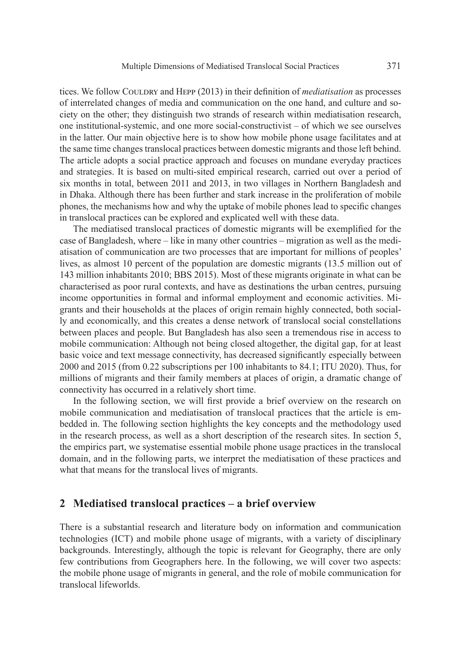tices. We follow Couldray and Hepp (2013) in their definition of *mediatisation* as processes of interrelated changes of media and communication on the one hand, and culture and society on the other; they distinguish two strands of research within mediatisation research, one institutional-systemic, and one more social-constructivist – of which we see ourselves in the latter. Our main objective here is to show how mobile phone usage facilitates and at the same time changes translocal practices between domestic migrants and those left behind. The article adopts a social practice approach and focuses on mundane everyday practices and strategies. It is based on multi-sited empirical research, carried out over a period of six months in total, between 2011 and 2013, in two villages in Northern Bangladesh and in Dhaka. Although there has been further and stark increase in the proliferation of mobile phones, the mechanisms how and why the uptake of mobile phones lead to specific changes in translocal practices can be explored and explicated well with these data.

The mediatised translocal practices of domestic migrants will be exemplified for the case of Bangladesh, where – like in many other countries – migration as well as the mediatisation of communication are two processes that are important for millions of peoples' lives, as almost 10 percent of the population are domestic migrants (13.5 million out of 143 million inhabitants 2010; BBS 2015). Most of these migrants originate in what can be characterised as poor rural contexts, and have as destinations the urban centres, pursuing income opportunities in formal and informal employment and economic activities. Migrants and their households at the places of origin remain highly connected, both socially and economically, and this creates a dense network of translocal social constellations between places and people. But Bangladesh has also seen a tremendous rise in access to mobile communication: Although not being closed altogether, the digital gap, for at least basic voice and text message connectivity, has decreased significantly especially between 2000 and 2015 (from 0.22 subscriptions per 100 inhabitants to 84.1; ITU 2020). Thus, for millions of migrants and their family members at places of origin, a dramatic change of connectivity has occurred in a relatively short time.

In the following section, we will first provide a brief overview on the research on mobile communication and mediatisation of translocal practices that the article is embedded in. The following section highlights the key concepts and the methodology used in the research process, as well as a short description of the research sites. In section 5, the empirics part, we systematise essential mobile phone usage practices in the translocal domain, and in the following parts, we interpret the mediatisation of these practices and what that means for the translocal lives of migrants.

#### **2 Mediatised translocal practices – a brief overview**

There is a substantial research and literature body on information and communication technologies (ICT) and mobile phone usage of migrants, with a variety of disciplinary backgrounds. Interestingly, although the topic is relevant for Geography, there are only few contributions from Geographers here. In the following, we will cover two aspects: the mobile phone usage of migrants in general, and the role of mobile communication for translocal lifeworlds.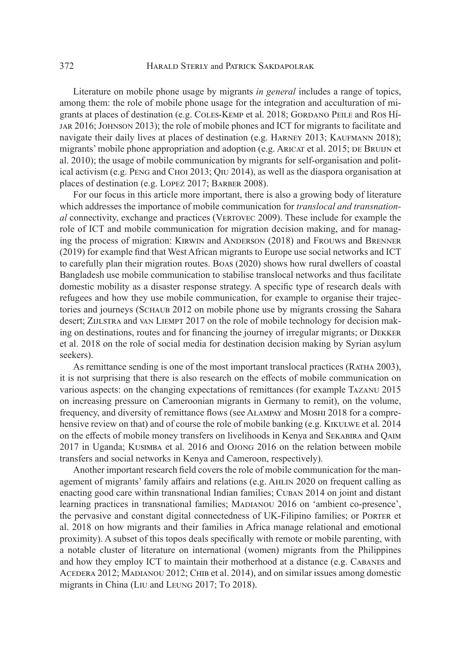Literature on mobile phone usage by migrants *in general* includes a range of topics, among them: the role of mobile phone usage for the integration and acculturation of migrants at places of destination (e.g. COLES-KEMP et al. 2018; GORDANO PEILE and ROS Híjar 2016; Johnson 2013); the role of mobile phones and ICT for migrants to facilitate and navigate their daily lives at places of destination (e.g. HARNEY 2013; KAUFMANN 2018); migrants' mobile phone appropriation and adoption (e.g. ARICAT et al. 2015; DE BRUIJN et al. 2010); the usage of mobile communication by migrants for self-organisation and political activism (e.g. Peng and Choi 2013; Qiu 2014), as well as the diaspora organisation at places of destination (e.g. Lopez 2017; Barber 2008).

For our focus in this article more important, there is also a growing body of literature which addresses the importance of mobile communication for *translocal and transnational* connectivity, exchange and practices (VERTOVEC 2009). These include for example the role of ICT and mobile communication for migration decision making, and for managing the process of migration: Kirwin and Anderson (2018) and Frouws and Brenner (2019) for example find that West African migrants to Europe use social networks and ICT to carefully plan their migration routes. Boas (2020) shows how rural dwellers of coastal Bangladesh use mobile communication to stabilise translocal networks and thus facilitate domestic mobility as a disaster response strategy. A specific type of research deals with refugees and how they use mobile communication, for example to organise their trajectories and journeys (SCHAUB 2012 on mobile phone use by migrants crossing the Sahara desert; ZIJLSTRA and VAN LIEMPT 2017 on the role of mobile technology for decision making on destinations, routes and for financing the journey of irregular migrants; or Dekker et al. 2018 on the role of social media for destination decision making by Syrian asylum seekers).

As remittance sending is one of the most important translocal practices (RATHA 2003), it is not surprising that there is also research on the effects of mobile communication on various aspects: on the changing expectations of remittances (for example Tazanu 2015 on increasing pressure on Cameroonian migrants in Germany to remit), on the volume, frequency, and diversity of remittance flows (see Alampay and Moshi 2018 for a comprehensive review on that) and of course the role of mobile banking (e.g. KIKULWE et al. 2014 on the effects of mobile money transfers on livelihoods in Kenya and Sekabira and Qaim 2017 in Uganda; Kusimba et al. 2016 and Ojong 2016 on the relation between mobile transfers and social networks in Kenya and Cameroon, respectively).

Another important research field covers the role of mobile communication for the management of migrants' family affairs and relations (e.g. Ahlin 2020 on frequent calling as enacting good care within transnational Indian families; Cuban 2014 on joint and distant learning practices in transnational families; Madianou 2016 on 'ambient co‐presence', the pervasive and constant digital connectedness of UK-Filipino families; or Porter et al. 2018 on how migrants and their families in Africa manage relational and emotional proximity). A subset of this topos deals specifically with remote or mobile parenting, with a notable cluster of literature on international (women) migrants from the Philippines and how they employ ICT to maintain their motherhood at a distance (e.g. Cabanes and ACEDERA 2012; MADIANOU 2012; CHIB et al. 2014), and on similar issues among domestic migrants in China (Liu and Leung 2017; To 2018).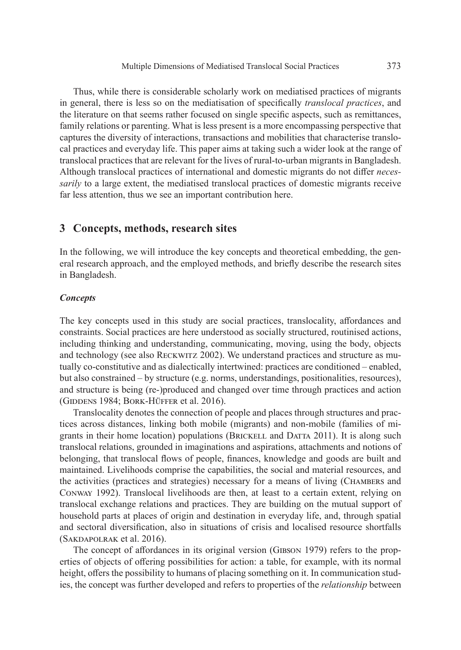Thus, while there is considerable scholarly work on mediatised practices of migrants in general, there is less so on the mediatisation of specifically *translocal practices*, and the literature on that seems rather focused on single specific aspects, such as remittances, family relations or parenting. What is less present is a more encompassing perspective that captures the diversity of interactions, transactions and mobilities that characterise translocal practices and everyday life. This paper aims at taking such a wider look at the range of translocal practices that are relevant for the lives of rural-to-urban migrants in Bangladesh. Although translocal practices of international and domestic migrants do not differ *necessarily* to a large extent, the mediatised translocal practices of domestic migrants receive far less attention, thus we see an important contribution here.

#### **3 Concepts, methods, research sites**

In the following, we will introduce the key concepts and theoretical embedding, the general research approach, and the employed methods, and briefly describe the research sites in Bangladesh.

#### *Concepts*

The key concepts used in this study are social practices, translocality, affordances and constraints. Social practices are here understood as socially structured, routinised actions, including thinking and understanding, communicating, moving, using the body, objects and technology (see also Reckwitz 2002). We understand practices and structure as mutually co-constitutive and as dialectically intertwined: practices are conditioned – enabled, but also constrained – by structure (e.g. norms, understandings, positionalities, resources), and structure is being (re-)produced and changed over time through practices and action (GIDDENS 1984; BORK-HÜFFER et al. 2016).

Translocality denotes the connection of people and places through structures and practices across distances, linking both mobile (migrants) and non-mobile (families of migrants in their home location) populations (Brickell and Datta 2011). It is along such translocal relations, grounded in imaginations and aspirations, attachments and notions of belonging, that translocal flows of people, finances, knowledge and goods are built and maintained. Livelihoods comprise the capabilities, the social and material resources, and the activities (practices and strategies) necessary for a means of living (Chambers and Conway 1992). Translocal livelihoods are then, at least to a certain extent, relying on translocal exchange relations and practices. They are building on the mutual support of household parts at places of origin and destination in everyday life, and, through spatial and sectoral diversification, also in situations of crisis and localised resource shortfalls (Sakdapolrak et al. 2016).

The concept of affordances in its original version (Gibson 1979) refers to the properties of objects of offering possibilities for action: a table, for example, with its normal height, offers the possibility to humans of placing something on it. In communication studies, the concept was further developed and refers to properties of the *relationship* between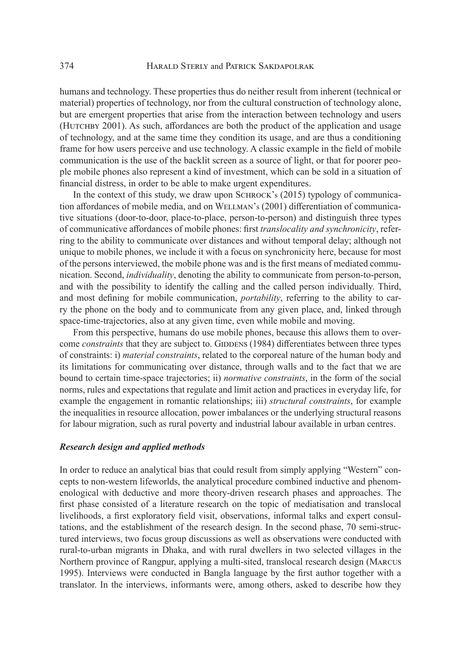humans and technology. These properties thus do neither result from inherent (technical or material) properties of technology, nor from the cultural construction of technology alone, but are emergent properties that arise from the interaction between technology and users (HUTCHBY 2001). As such, affordances are both the product of the application and usage of technology, and at the same time they condition its usage, and are thus a conditioning frame for how users perceive and use technology. A classic example in the field of mobile communication is the use of the backlit screen as a source of light, or that for poorer people mobile phones also represent a kind of investment, which can be sold in a situation of financial distress, in order to be able to make urgent expenditures.

In the context of this study, we draw upon SCHROCK's (2015) typology of communication affordances of mobile media, and on Wellman's (2001) differentiation of communicative situations (door-to-door, place-to-place, person-to-person) and distinguish three types of communicative affordances of mobile phones: first *translocality and synchronicity*, referring to the ability to communicate over distances and without temporal delay; although not unique to mobile phones, we include it with a focus on synchronicity here, because for most of the persons interviewed, the mobile phone was and is the first means of mediated communication. Second, *individuality*, denoting the ability to communicate from person-to-person, and with the possibility to identify the calling and the called person individually. Third, and most defining for mobile communication, *portability*, referring to the ability to carry the phone on the body and to communicate from any given place, and, linked through space-time-trajectories, also at any given time, even while mobile and moving.

From this perspective, humans do use mobile phones, because this allows them to overcome *constraints* that they are subject to. GIDDENS (1984) differentiates between three types of constraints: i) *material constraints*, related to the corporeal nature of the human body and its limitations for communicating over distance, through walls and to the fact that we are bound to certain time-space trajectories; ii) *normative constraints*, in the form of the social norms, rules and expectations that regulate and limit action and practices in everyday life, for example the engagement in romantic relationships; iii) *structural constraints*, for example the inequalities in resource allocation, power imbalances or the underlying structural reasons for labour migration, such as rural poverty and industrial labour available in urban centres.

#### *Research design and applied methods*

In order to reduce an analytical bias that could result from simply applying "Western" concepts to non-western lifeworlds, the analytical procedure combined inductive and phenomenological with deductive and more theory-driven research phases and approaches. The first phase consisted of a literature research on the topic of mediatisation and translocal livelihoods, a first exploratory field visit, observations, informal talks and expert consultations, and the establishment of the research design. In the second phase, 70 semi-structured interviews, two focus group discussions as well as observations were conducted with rural-to-urban migrants in Dhaka, and with rural dwellers in two selected villages in the Northern province of Rangpur, applying a multi-sited, translocal research design (Marcus 1995). Interviews were conducted in Bangla language by the first author together with a translator. In the interviews, informants were, among others, asked to describe how they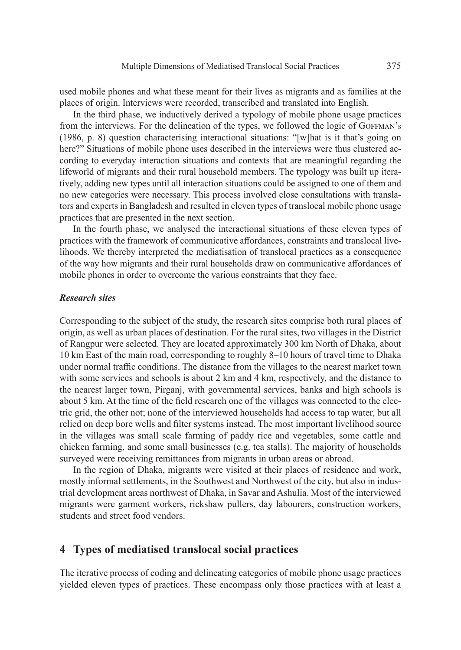used mobile phones and what these meant for their lives as migrants and as families at the places of origin. Interviews were recorded, transcribed and translated into English.

In the third phase, we inductively derived a typology of mobile phone usage practices from the interviews. For the delineation of the types, we followed the logic of GOFFMAN's (1986, p. 8) question characterising interactional situations: "[w]hat is it that's going on here?" Situations of mobile phone uses described in the interviews were thus clustered according to everyday interaction situations and contexts that are meaningful regarding the lifeworld of migrants and their rural household members. The typology was built up iteratively, adding new types until all interaction situations could be assigned to one of them and no new categories were necessary. This process involved close consultations with translators and experts in Bangladesh and resulted in eleven types of translocal mobile phone usage practices that are presented in the next section.

In the fourth phase, we analysed the interactional situations of these eleven types of practices with the framework of communicative affordances, constraints and translocal livelihoods. We thereby interpreted the mediatisation of translocal practices as a consequence of the way how migrants and their rural households draw on communicative affordances of mobile phones in order to overcome the various constraints that they face.

#### *Research sites*

Corresponding to the subject of the study, the research sites comprise both rural places of origin, as well as urban places of destination. For the rural sites, two villages in the District of Rangpur were selected. They are located approximately 300 km North of Dhaka, about 10 km East of the main road, corresponding to roughly 8–10 hours of travel time to Dhaka under normal traffic conditions. The distance from the villages to the nearest market town with some services and schools is about 2 km and 4 km, respectively, and the distance to the nearest larger town, Pirganj, with governmental services, banks and high schools is about 5 km. At the time of the field research one of the villages was connected to the electric grid, the other not; none of the interviewed households had access to tap water, but all relied on deep bore wells and filter systems instead. The most important livelihood source in the villages was small scale farming of paddy rice and vegetables, some cattle and chicken farming, and some small businesses (e.g. tea stalls). The majority of households surveyed were receiving remittances from migrants in urban areas or abroad.

In the region of Dhaka, migrants were visited at their places of residence and work, mostly informal settlements, in the Southwest and Northwest of the city, but also in industrial development areas northwest of Dhaka, in Savar and Ashulia. Most of the interviewed migrants were garment workers, rickshaw pullers, day labourers, construction workers, students and street food vendors.

### **4 Types of mediatised translocal social practices**

The iterative process of coding and delineating categories of mobile phone usage practices yielded eleven types of practices. These encompass only those practices with at least a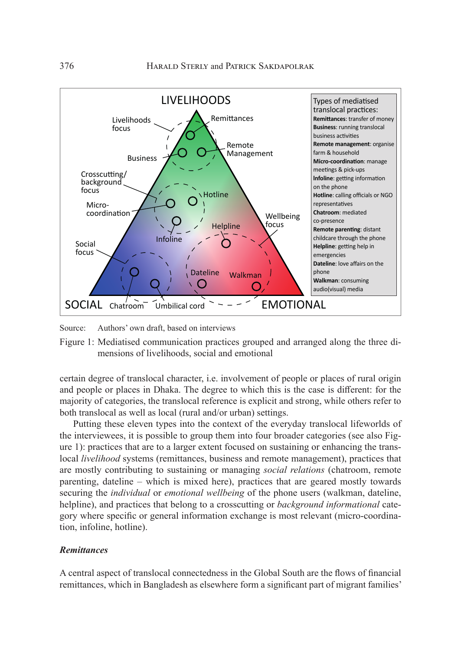

Source: Authors' own draft, based on interviews

Figure 1: Mediatised communication practices grouped and arranged along the three dimensions of livelihoods, social and emotional

certain degree of translocal character, i.e. involvement of people or places of rural origin and people or places in Dhaka. The degree to which this is the case is different: for the majority of categories, the translocal reference is explicit and strong, while others refer to both translocal as well as local (rural and/or urban) settings.

Putting these eleven types into the context of the everyday translocal lifeworlds of the interviewees, it is possible to group them into four broader categories (see also Figure 1): practices that are to a larger extent focused on sustaining or enhancing the translocal *livelihood* systems (remittances, business and remote management), practices that are mostly contributing to sustaining or managing *social relations* (chatroom, remote parenting, dateline – which is mixed here), practices that are geared mostly towards securing the *individual* or *emotional wellbeing* of the phone users (walkman, dateline, helpline), and practices that belong to a crosscutting or *background informational* category where specific or general information exchange is most relevant (micro-coordination, infoline, hotline).

#### *Remittances*

A central aspect of translocal connectedness in the Global South are the flows of financial remittances, which in Bangladesh as elsewhere form a significant part of migrant families'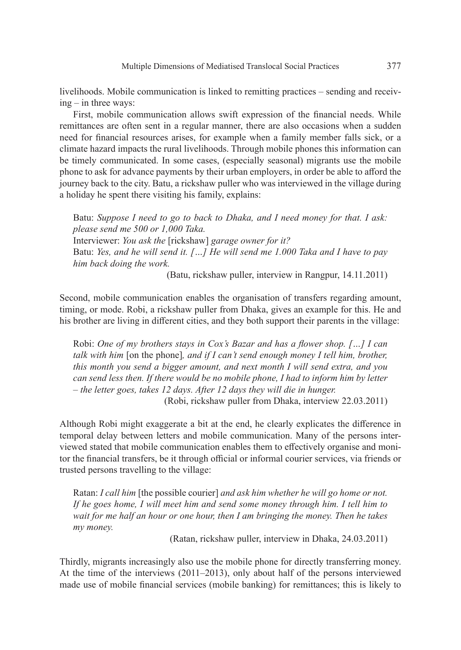livelihoods. Mobile communication is linked to remitting practices – sending and receiving – in three ways:

First, mobile communication allows swift expression of the financial needs. While remittances are often sent in a regular manner, there are also occasions when a sudden need for financial resources arises, for example when a family member falls sick, or a climate hazard impacts the rural livelihoods. Through mobile phones this information can be timely communicated. In some cases, (especially seasonal) migrants use the mobile phone to ask for advance payments by their urban employers, in order be able to afford the journey back to the city. Batu, a rickshaw puller who was interviewed in the village during a holiday he spent there visiting his family, explains:

Batu: *Suppose I need to go to back to Dhaka, and I need money for that. I ask: please send me 500 or 1,000 Taka.*  Interviewer: *You ask the* [rickshaw] *garage owner for it?* Batu: *Yes, and he will send it. […] He will send me 1.000 Taka and I have to pay him back doing the work.*

(Batu, rickshaw puller, interview in Rangpur, 14.11.2011)

Second, mobile communication enables the organisation of transfers regarding amount, timing, or mode. Robi, a rickshaw puller from Dhaka, gives an example for this. He and his brother are living in different cities, and they both support their parents in the village:

Robi: *One of my brothers stays in Cox's Bazar and has a flower shop. […] I can talk with him* [on the phone]*, and if I can't send enough money I tell him, brother, this month you send a bigger amount, and next month I will send extra, and you can send less then. If there would be no mobile phone, I had to inform him by letter – the letter goes, takes 12 days. After 12 days they will die in hunger.*

(Robi, rickshaw puller from Dhaka, interview 22.03.2011)

Although Robi might exaggerate a bit at the end, he clearly explicates the difference in temporal delay between letters and mobile communication. Many of the persons interviewed stated that mobile communication enables them to effectively organise and monitor the financial transfers, be it through official or informal courier services, via friends or trusted persons travelling to the village:

Ratan: *I call him* [the possible courier] *and ask him whether he will go home or not.*  If he goes home, I will meet him and send some money through him. I tell him to *wait for me half an hour or one hour, then I am bringing the money. Then he takes my money.*

(Ratan, rickshaw puller, interview in Dhaka, 24.03.2011)

Thirdly, migrants increasingly also use the mobile phone for directly transferring money. At the time of the interviews (2011–2013), only about half of the persons interviewed made use of mobile financial services (mobile banking) for remittances; this is likely to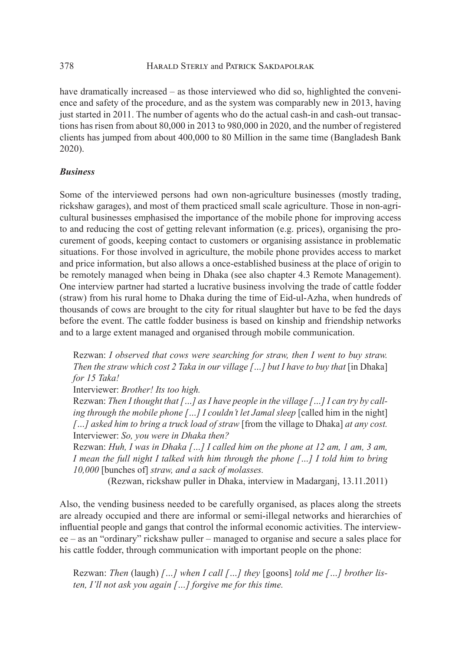have dramatically increased – as those interviewed who did so, highlighted the convenience and safety of the procedure, and as the system was comparably new in 2013, having just started in 2011. The number of agents who do the actual cash-in and cash-out transactions has risen from about 80,000 in 2013 to 980,000 in 2020, and the number of registered clients has jumped from about 400,000 to 80 Million in the same time (Bangladesh Bank 2020).

## *Business*

Some of the interviewed persons had own non-agriculture businesses (mostly trading, rickshaw garages), and most of them practiced small scale agriculture. Those in non-agricultural businesses emphasised the importance of the mobile phone for improving access to and reducing the cost of getting relevant information (e.g. prices), organising the procurement of goods, keeping contact to customers or organising assistance in problematic situations. For those involved in agriculture, the mobile phone provides access to market and price information, but also allows a once-established business at the place of origin to be remotely managed when being in Dhaka (see also chapter 4.3 Remote Management). One interview partner had started a lucrative business involving the trade of cattle fodder (straw) from his rural home to Dhaka during the time of Eid-ul-Azha, when hundreds of thousands of cows are brought to the city for ritual slaughter but have to be fed the days before the event. The cattle fodder business is based on kinship and friendship networks and to a large extent managed and organised through mobile communication.

Rezwan: *I observed that cows were searching for straw, then I went to buy straw. Then the straw which cost 2 Taka in our village [...] but I have to buy that* [in Dhaka] *for 15 Taka!* 

Interviewer: *Brother! Its too high.* 

Rezwan: *Then I thought that […] as I have people in the village […] I can try by calling through the mobile phone [...] I couldn't let Jamal sleep* [called him in the night] *[…] asked him to bring a truck load of straw* [from the village to Dhaka] *at any cost.*  Interviewer: *So, you were in Dhaka then?* 

Rezwan: *Huh, I was in Dhaka […] I called him on the phone at 12 am, 1 am, 3 am, I mean the full night I talked with him through the phone […] I told him to bring 10,000* [bunches of] *straw, and a sack of molasses.* 

(Rezwan, rickshaw puller in Dhaka, interview in Madarganj, 13.11.2011)

Also, the vending business needed to be carefully organised, as places along the streets are already occupied and there are informal or semi-illegal networks and hierarchies of influential people and gangs that control the informal economic activities. The interviewee – as an "ordinary" rickshaw puller – managed to organise and secure a sales place for his cattle fodder, through communication with important people on the phone:

Rezwan: *Then* (laugh) *[…] when I call […] they* [goons] *told me […] brother listen, I'll not ask you again […] forgive me for this time.*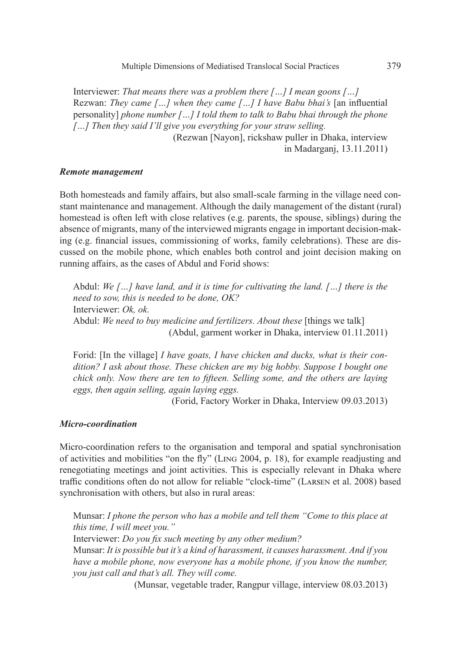Interviewer: *That means there was a problem there […] I mean goons […]* Rezwan: *They came […] when they came […] I have Babu bhai's* [an influential personality] *phone number […] I told them to talk to Babu bhai through the phone […] Then they said I'll give you everything for your straw selling.*  (Rezwan [Nayon], rickshaw puller in Dhaka, interview

in Madarganj, 13.11.2011)

#### *Remote management*

Both homesteads and family affairs, but also small-scale farming in the village need constant maintenance and management. Although the daily management of the distant (rural) homestead is often left with close relatives (e.g. parents, the spouse, siblings) during the absence of migrants, many of the interviewed migrants engage in important decision-making (e.g. financial issues, commissioning of works, family celebrations). These are discussed on the mobile phone, which enables both control and joint decision making on running affairs, as the cases of Abdul and Forid shows:

Abdul: *We […] have land, and it is time for cultivating the land. […] there is the need to sow, this is needed to be done, OK?*  Interviewer: *Ok, ok.*  Abdul: We need to buy medicine and fertilizers. About these [things we talk] (Abdul, garment worker in Dhaka, interview 01.11.2011)

Forid: [In the village] *I have goats, I have chicken and ducks, what is their condition? I ask about those. These chicken are my big hobby. Suppose I bought one chick only. Now there are ten to fifteen. Selling some, and the others are laying eggs, then again selling, again laying eggs.* 

(Forid, Factory Worker in Dhaka, Interview 09.03.2013)

#### *Micro-coordination*

Micro-coordination refers to the organisation and temporal and spatial synchronisation of activities and mobilities "on the fly" (Ling 2004, p. 18), for example readjusting and renegotiating meetings and joint activities. This is especially relevant in Dhaka where traffic conditions often do not allow for reliable "clock-time" (Larsen et al. 2008) based synchronisation with others, but also in rural areas:

Munsar: *I phone the person who has a mobile and tell them "Come to this place at this time, I will meet you."* Interviewer: *Do you fix such meeting by any other medium?*

Munsar: *It is possible but it's a kind of harassment, it causes harassment. And if you have a mobile phone, now everyone has a mobile phone, if you know the number, you just call and that's all. They will come.* 

(Munsar, vegetable trader, Rangpur village, interview 08.03.2013)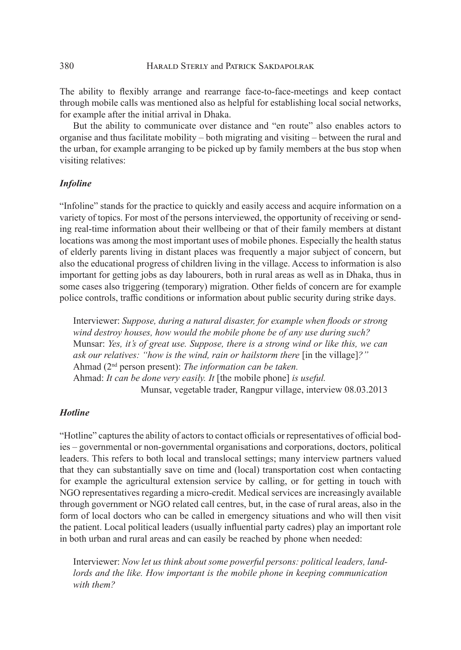The ability to flexibly arrange and rearrange face-to-face-meetings and keep contact through mobile calls was mentioned also as helpful for establishing local social networks, for example after the initial arrival in Dhaka.

But the ability to communicate over distance and "en route" also enables actors to organise and thus facilitate mobility – both migrating and visiting – between the rural and the urban, for example arranging to be picked up by family members at the bus stop when visiting relatives:

#### *Infoline*

"Infoline" stands for the practice to quickly and easily access and acquire information on a variety of topics. For most of the persons interviewed, the opportunity of receiving or sending real-time information about their wellbeing or that of their family members at distant locations was among the most important uses of mobile phones. Especially the health status of elderly parents living in distant places was frequently a major subject of concern, but also the educational progress of children living in the village. Access to information is also important for getting jobs as day labourers, both in rural areas as well as in Dhaka, thus in some cases also triggering (temporary) migration. Other fields of concern are for example police controls, traffic conditions or information about public security during strike days.

Interviewer: *Suppose, during a natural disaster, for example when floods or strong wind destroy houses, how would the mobile phone be of any use during such?* Munsar: *Yes, it's of great use. Suppose, there is a strong wind or like this, we can ask our relatives: "how is the wind, rain or hailstorm there* [in the village]*?"* Ahmad (2nd person present): *The information can be taken.* Ahmad: *It can be done very easily. It* [the mobile phone] *is useful.* Munsar, vegetable trader, Rangpur village, interview 08.03.2013

#### *Hotline*

"Hotline" captures the ability of actors to contact officials or representatives of official bodies – governmental or non-governmental organisations and corporations, doctors, political leaders. This refers to both local and translocal settings; many interview partners valued that they can substantially save on time and (local) transportation cost when contacting for example the agricultural extension service by calling, or for getting in touch with NGO representatives regarding a micro-credit. Medical services are increasingly available through government or NGO related call centres, but, in the case of rural areas, also in the form of local doctors who can be called in emergency situations and who will then visit the patient. Local political leaders (usually influential party cadres) play an important role in both urban and rural areas and can easily be reached by phone when needed:

Interviewer: *Now let us think about some powerful persons: political leaders, landlords and the like. How important is the mobile phone in keeping communication with them?*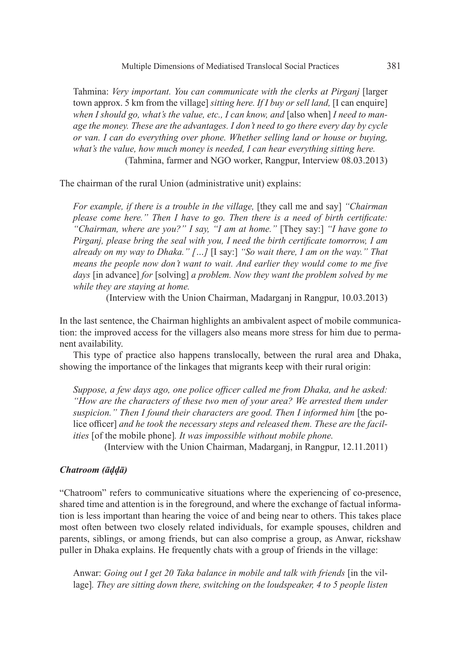Tahmina: *Very important. You can communicate with the clerks at Pirganj* [larger town approx. 5 km from the village] *sitting here. If I buy or sell land,* [I can enquire] when I should go, what's the value, etc., I can know, and [also when] I need to man*age the money. These are the advantages. I don't need to go there every day by cycle or van. I can do everything over phone. Whether selling land or house or buying, what's the value, how much money is needed, I can hear everything sitting here.*

(Tahmina, farmer and NGO worker, Rangpur, Interview 08.03.2013)

The chairman of the rural Union (administrative unit) explains:

*For example, if there is a trouble in the village, [they call me and say] "Chairman please come here." Then I have to go. Then there is a need of birth certificate: "Chairman, where are you?" I say, "I am at home."* [They say:] *"I have gone to Pirganj, please bring the seal with you, I need the birth certificate tomorrow, I am already on my way to Dhaka." […]* [I say:] *"So wait there, I am on the way." That means the people now don't want to wait. And earlier they would come to me five days* [in advance] *for* [solving] *a problem. Now they want the problem solved by me while they are staying at home.* 

(Interview with the Union Chairman, Madarganj in Rangpur, 10.03.2013)

In the last sentence, the Chairman highlights an ambivalent aspect of mobile communication: the improved access for the villagers also means more stress for him due to permanent availability.

This type of practice also happens translocally, between the rural area and Dhaka, showing the importance of the linkages that migrants keep with their rural origin:

*Suppose, a few days ago, one police officer called me from Dhaka, and he asked: "How are the characters of these two men of your area? We arrested them under suspicion." Then I found their characters are good. Then I informed him* [the police officer] *and he took the necessary steps and released them. These are the facilities* [of the mobile phone]*. It was impossible without mobile phone.* 

(Interview with the Union Chairman, Madarganj, in Rangpur, 12.11.2011)

#### *Chatroom (āḍḍā)*

"Chatroom" refers to communicative situations where the experiencing of co-presence, shared time and attention is in the foreground, and where the exchange of factual information is less important than hearing the voice of and being near to others. This takes place most often between two closely related individuals, for example spouses, children and parents, siblings, or among friends, but can also comprise a group, as Anwar, rickshaw puller in Dhaka explains. He frequently chats with a group of friends in the village:

Anwar: *Going out I get 20 Taka balance in mobile and talk with friends* [in the village]*. They are sitting down there, switching on the loudspeaker, 4 to 5 people listen*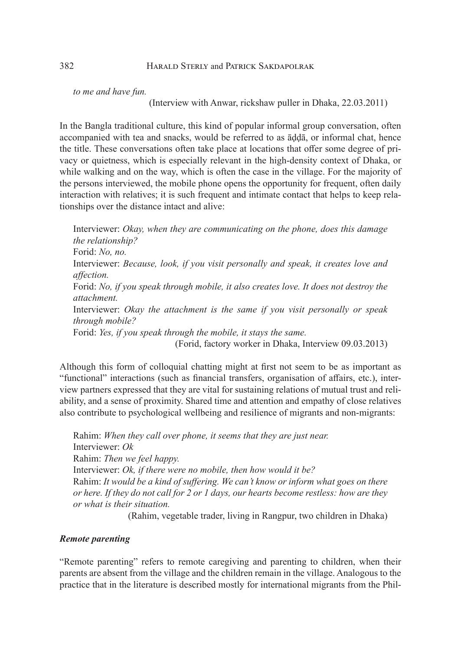*to me and have fun.* 

(Interview with Anwar, rickshaw puller in Dhaka, 22.03.2011)

In the Bangla traditional culture, this kind of popular informal group conversation, often accompanied with tea and snacks, would be referred to as āḍḍā, or informal chat, hence the title. These conversations often take place at locations that offer some degree of privacy or quietness, which is especially relevant in the high-density context of Dhaka, or while walking and on the way, which is often the case in the village. For the majority of the persons interviewed, the mobile phone opens the opportunity for frequent, often daily interaction with relatives; it is such frequent and intimate contact that helps to keep relationships over the distance intact and alive:

Interviewer: *Okay, when they are communicating on the phone, does this damage the relationship?*  Forid: *No, no.* Interviewer: *Because, look, if you visit personally and speak, it creates love and affection.* Forid: *No, if you speak through mobile, it also creates love. It does not destroy the attachment.* Interviewer: *Okay the attachment is the same if you visit personally or speak through mobile?* Forid: *Yes, if you speak through the mobile, it stays the same.* (Forid, factory worker in Dhaka, Interview 09.03.2013)

Although this form of colloquial chatting might at first not seem to be as important as "functional" interactions (such as financial transfers, organisation of affairs, etc.), interview partners expressed that they are vital for sustaining relations of mutual trust and reliability, and a sense of proximity. Shared time and attention and empathy of close relatives also contribute to psychological wellbeing and resilience of migrants and non-migrants:

Rahim: *When they call over phone, it seems that they are just near.* Interviewer: *Ok* Rahim: *Then we feel happy.* Interviewer: *Ok, if there were no mobile, then how would it be?* Rahim: *It would be a kind of suffering. We can't know or inform what goes on there or here. If they do not call for 2 or 1 days, our hearts become restless: how are they or what is their situation.*

(Rahim, vegetable trader, living in Rangpur, two children in Dhaka)

#### *Remote parenting*

"Remote parenting" refers to remote caregiving and parenting to children, when their parents are absent from the village and the children remain in the village. Analogous to the practice that in the literature is described mostly for international migrants from the Phil-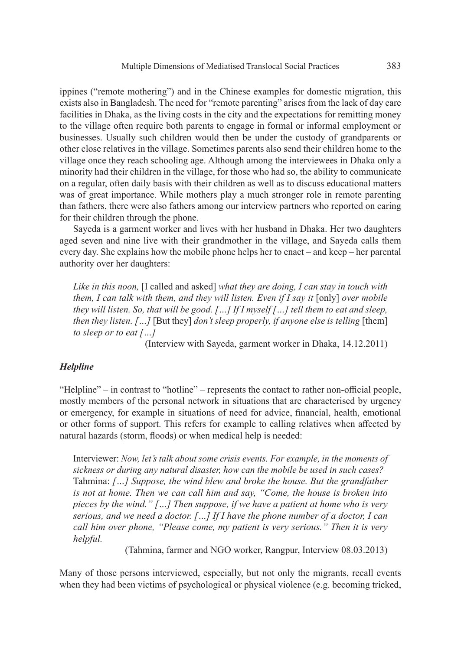ippines ("remote mothering") and in the Chinese examples for domestic migration, this exists also in Bangladesh. The need for "remote parenting" arises from the lack of day care facilities in Dhaka, as the living costs in the city and the expectations for remitting money to the village often require both parents to engage in formal or informal employment or businesses. Usually such children would then be under the custody of grandparents or other close relatives in the village. Sometimes parents also send their children home to the village once they reach schooling age. Although among the interviewees in Dhaka only a minority had their children in the village, for those who had so, the ability to communicate on a regular, often daily basis with their children as well as to discuss educational matters was of great importance. While mothers play a much stronger role in remote parenting than fathers, there were also fathers among our interview partners who reported on caring for their children through the phone.

Sayeda is a garment worker and lives with her husband in Dhaka. Her two daughters aged seven and nine live with their grandmother in the village, and Sayeda calls them every day. She explains how the mobile phone helps her to enact – and keep – her parental authority over her daughters:

*Like in this noon,* [I called and asked] *what they are doing, I can stay in touch with them, I can talk with them, and they will listen. Even if I say it [only] over mobile they will listen. So, that will be good. […] If I myself […] tell them to eat and sleep, then they listen. […]* [But they] *don't sleep properly, if anyone else is telling* [them] *to sleep or to eat […]*

(Interview with Sayeda, garment worker in Dhaka, 14.12.2011)

### *Helpline*

"Helpline" – in contrast to "hotline" – represents the contact to rather non-official people, mostly members of the personal network in situations that are characterised by urgency or emergency, for example in situations of need for advice, financial, health, emotional or other forms of support. This refers for example to calling relatives when affected by natural hazards (storm, floods) or when medical help is needed:

Interviewer: *Now, let's talk about some crisis events. For example, in the moments of sickness or during any natural disaster, how can the mobile be used in such cases?* Tahmina: *[…] Suppose, the wind blew and broke the house. But the grandfather is not at home. Then we can call him and say, "Come, the house is broken into pieces by the wind." […] Then suppose, if we have a patient at home who is very serious, and we need a doctor. […] If I have the phone number of a doctor, I can call him over phone, "Please come, my patient is very serious." Then it is very helpful.*

(Tahmina, farmer and NGO worker, Rangpur, Interview 08.03.2013)

Many of those persons interviewed, especially, but not only the migrants, recall events when they had been victims of psychological or physical violence (e.g. becoming tricked,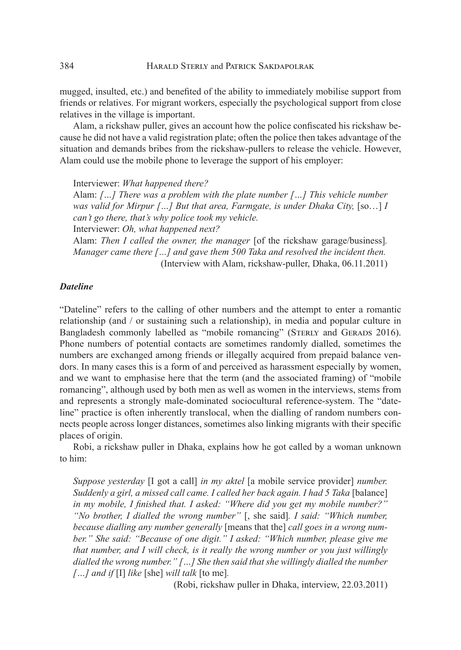mugged, insulted, etc.) and benefited of the ability to immediately mobilise support from friends or relatives. For migrant workers, especially the psychological support from close relatives in the village is important.

Alam, a rickshaw puller, gives an account how the police confiscated his rickshaw because he did not have a valid registration plate; often the police then takes advantage of the situation and demands bribes from the rickshaw-pullers to release the vehicle. However, Alam could use the mobile phone to leverage the support of his employer:

Interviewer: *What happened there?* Alam: *[…] There was a problem with the plate number […] This vehicle number was valid for Mirpur […] But that area, Farmgate, is under Dhaka City,* [so...] *I can't go there, that's why police took my vehicle.*  Interviewer: *Oh, what happened next?* Alam: *Then I called the owner, the manager* [of the rickshaw garage/business]*.* 

*Manager came there […] and gave them 500 Taka and resolved the incident then.* (Interview with Alam, rickshaw-puller, Dhaka, 06.11.2011)

#### *Dateline*

"Dateline" refers to the calling of other numbers and the attempt to enter a romantic relationship (and / or sustaining such a relationship), in media and popular culture in Bangladesh commonly labelled as "mobile romancing" (STERLY and GERADS 2016). Phone numbers of potential contacts are sometimes randomly dialled, sometimes the numbers are exchanged among friends or illegally acquired from prepaid balance vendors. In many cases this is a form of and perceived as harassment especially by women, and we want to emphasise here that the term (and the associated framing) of "mobile romancing", although used by both men as well as women in the interviews, stems from and represents a strongly male-dominated sociocultural reference-system. The "dateline" practice is often inherently translocal, when the dialling of random numbers connects people across longer distances, sometimes also linking migrants with their specific places of origin.

Robi, a rickshaw puller in Dhaka, explains how he got called by a woman unknown to him:

*Suppose yesterday* [I got a call] *in my aktel* [a mobile service provider] *number. Suddenly a girl, a missed call came. I called her back again. I had 5 Taka* [balance] *in my mobile, I finished that. I asked: "Where did you get my mobile number?" "No brother, I dialled the wrong number"* [, she said]*. I said: "Which number, because dialling any number generally* [means that the] *call goes in a wrong number." She said: "Because of one digit." I asked: "Which number, please give me that number, and I will check, is it really the wrong number or you just willingly dialled the wrong number." […] She then said that she willingly dialled the number […] and if* [I] *like* [she] *will talk* [to me]*.*

(Robi, rickshaw puller in Dhaka, interview, 22.03.2011)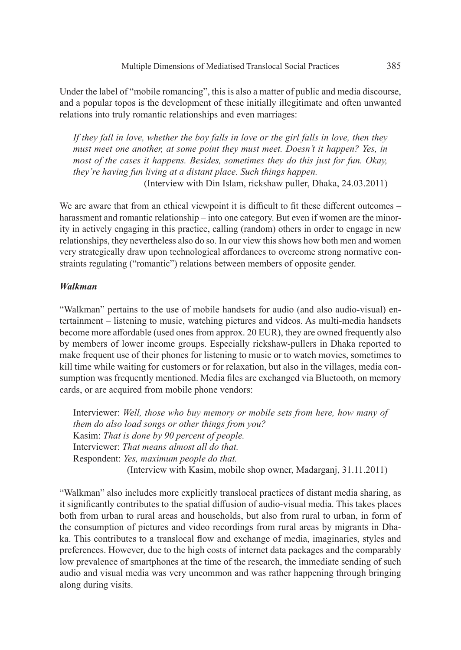Under the label of "mobile romancing", this is also a matter of public and media discourse, and a popular topos is the development of these initially illegitimate and often unwanted relations into truly romantic relationships and even marriages:

*If they fall in love, whether the boy falls in love or the girl falls in love, then they must meet one another, at some point they must meet. Doesn't it happen? Yes, in most of the cases it happens. Besides, sometimes they do this just for fun. Okay, they're having fun living at a distant place. Such things happen.* (Interview with Din Islam, rickshaw puller, Dhaka, 24.03.2011)

We are aware that from an ethical viewpoint it is difficult to fit these different outcomes – harassment and romantic relationship – into one category. But even if women are the minority in actively engaging in this practice, calling (random) others in order to engage in new relationships, they nevertheless also do so. In our view this shows how both men and women very strategically draw upon technological affordances to overcome strong normative constraints regulating ("romantic") relations between members of opposite gender.

#### *Walkman*

"Walkman" pertains to the use of mobile handsets for audio (and also audio-visual) entertainment – listening to music, watching pictures and videos. As multi-media handsets become more affordable (used ones from approx. 20 EUR), they are owned frequently also by members of lower income groups. Especially rickshaw-pullers in Dhaka reported to make frequent use of their phones for listening to music or to watch movies, sometimes to kill time while waiting for customers or for relaxation, but also in the villages, media consumption was frequently mentioned. Media files are exchanged via Bluetooth, on memory cards, or are acquired from mobile phone vendors:

Interviewer: *Well, those who buy memory or mobile sets from here, how many of them do also load songs or other things from you?* Kasim: *That is done by 90 percent of people.*  Interviewer: *That means almost all do that.*  Respondent: *Yes, maximum people do that.* (Interview with Kasim, mobile shop owner, Madarganj, 31.11.2011)

"Walkman" also includes more explicitly translocal practices of distant media sharing, as it significantly contributes to the spatial diffusion of audio-visual media. This takes places both from urban to rural areas and households, but also from rural to urban, in form of the consumption of pictures and video recordings from rural areas by migrants in Dhaka. This contributes to a translocal flow and exchange of media, imaginaries, styles and preferences. However, due to the high costs of internet data packages and the comparably low prevalence of smartphones at the time of the research, the immediate sending of such audio and visual media was very uncommon and was rather happening through bringing along during visits.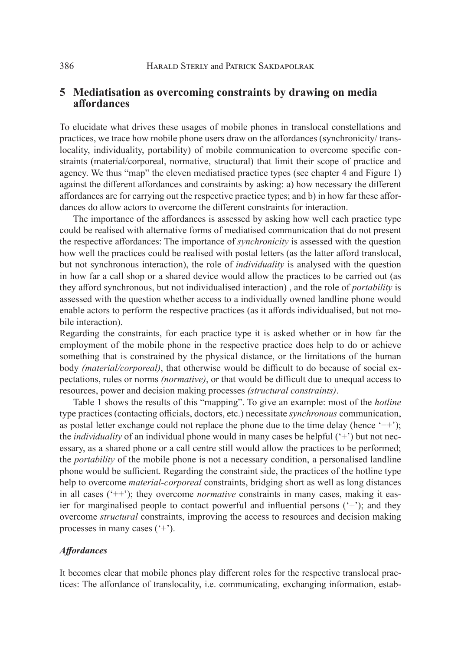## **5 Mediatisation as overcoming constraints by drawing on media affordances**

To elucidate what drives these usages of mobile phones in translocal constellations and practices, we trace how mobile phone users draw on the affordances (synchronicity/ translocality, individuality, portability) of mobile communication to overcome specific constraints (material/corporeal, normative, structural) that limit their scope of practice and agency. We thus "map" the eleven mediatised practice types (see chapter 4 and Figure 1) against the different affordances and constraints by asking: a) how necessary the different affordances are for carrying out the respective practice types; and b) in how far these affordances do allow actors to overcome the different constraints for interaction.

The importance of the affordances is assessed by asking how well each practice type could be realised with alternative forms of mediatised communication that do not present the respective affordances: The importance of *synchronicity* is assessed with the question how well the practices could be realised with postal letters (as the latter afford translocal, but not synchronous interaction), the role of *individuality* is analysed with the question in how far a call shop or a shared device would allow the practices to be carried out (as they afford synchronous, but not individualised interaction) , and the role of *portability* is assessed with the question whether access to a individually owned landline phone would enable actors to perform the respective practices (as it affords individualised, but not mobile interaction).

Regarding the constraints, for each practice type it is asked whether or in how far the employment of the mobile phone in the respective practice does help to do or achieve something that is constrained by the physical distance, or the limitations of the human body *(material/corporeal)*, that otherwise would be difficult to do because of social expectations, rules or norms *(normative)*, or that would be difficult due to unequal access to resources, power and decision making processes *(structural constraints)*.

Table 1 shows the results of this "mapping". To give an example: most of the *hotline* type practices (contacting officials, doctors, etc.) necessitate *synchronous* communication, as postal letter exchange could not replace the phone due to the time delay (hence  $'++$ ); the *individuality* of an individual phone would in many cases be helpful ('+') but not necessary, as a shared phone or a call centre still would allow the practices to be performed; the *portability* of the mobile phone is not a necessary condition, a personalised landline phone would be sufficient. Regarding the constraint side, the practices of the hotline type help to overcome *material-corporeal* constraints, bridging short as well as long distances in all cases ('++'); they overcome *normative* constraints in many cases, making it easier for marginalised people to contact powerful and influential persons ('+'); and they overcome *structural* constraints, improving the access to resources and decision making processes in many cases  $(2+)$ .

#### *Affordances*

It becomes clear that mobile phones play different roles for the respective translocal practices: The affordance of translocality, i.e. communicating, exchanging information, estab-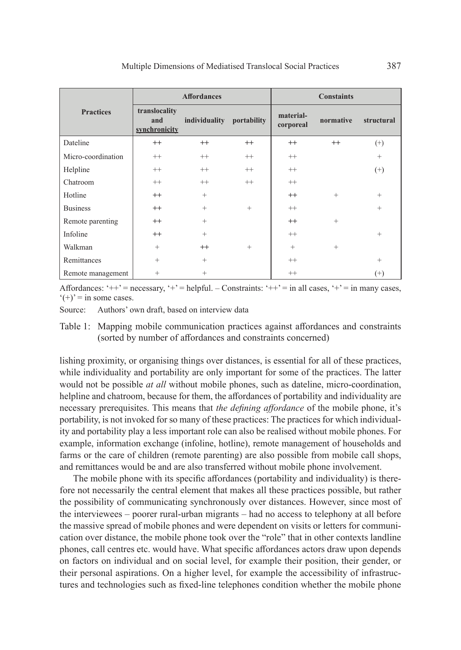|                    | <b>Affordances</b>                    |               |             | <b>Constaints</b>      |           |                 |
|--------------------|---------------------------------------|---------------|-------------|------------------------|-----------|-----------------|
| <b>Practices</b>   | translocality<br>and<br>synchronicity | individuality | portability | material-<br>corporeal | normative | structural      |
| Dateline           | $^{++}$                               | $^{++}$       | $^{++}$     | $^{++}$                | $^{++}$   | $^{(+)}$        |
| Micro-coordination | $^{++}$                               | $^{++}$       | $^{++}$     | $^{++}$                |           | $\! + \!\!\!\!$ |
| Helpline           | $^{++}$                               | $^{++}$       | $^{++}$     | $^{++}$                |           | $^{(+)}$        |
| Chatroom           | $^{++}$                               | $^{++}$       | $++$        | $^{++}$                |           |                 |
| Hotline            | $^{++}$                               | $^{+}$        |             | $^{++}$                | $^{+}$    | $+$             |
| <b>Business</b>    | $^{++}$                               | $^{+}$        | $^{+}$      | $^{++}$                |           | $^{+}$          |
| Remote parenting   | $^{++}$                               | $^{+}$        |             | $^{++}$                | $^{+}$    |                 |
| Infoline           | $^{++}$                               | $^{+}$        |             | $^{++}$                |           | $^{+}$          |
| Walkman            | $^{+}$                                | $^{++}$       | $^{+}$      | $^{+}$                 | $^{+}$    |                 |
| Remittances        | $^{+}$                                | $^{+}$        |             | $^{++}$                |           | $^{+}$          |
| Remote management  | $^{+}$                                | $^{+}$        |             | $++$                   |           | $^{(+)}$        |

Affordances: ' $++'$  = necessary, ' $+$ ' = helpful. – Constraints: ' $++'$  = in all cases, ' $+$ ' = in many cases,  $'(+)$ ' = in some cases.

Source: Authors' own draft, based on interview data

Table 1: Mapping mobile communication practices against affordances and constraints (sorted by number of affordances and constraints concerned)

lishing proximity, or organising things over distances, is essential for all of these practices, while individuality and portability are only important for some of the practices. The latter would not be possible *at all* without mobile phones, such as dateline, micro-coordination, helpline and chatroom, because for them, the affordances of portability and individuality are necessary prerequisites. This means that *the defining affordance* of the mobile phone, it's portability, is not invoked for so many of these practices: The practices for which individuality and portability play a less important role can also be realised without mobile phones. For example, information exchange (infoline, hotline), remote management of households and farms or the care of children (remote parenting) are also possible from mobile call shops, and remittances would be and are also transferred without mobile phone involvement.

The mobile phone with its specific affordances (portability and individuality) is therefore not necessarily the central element that makes all these practices possible, but rather the possibility of communicating synchronously over distances. However, since most of the interviewees – poorer rural-urban migrants – had no access to telephony at all before the massive spread of mobile phones and were dependent on visits or letters for communication over distance, the mobile phone took over the "role" that in other contexts landline phones, call centres etc. would have. What specific affordances actors draw upon depends on factors on individual and on social level, for example their position, their gender, or their personal aspirations. On a higher level, for example the accessibility of infrastructures and technologies such as fixed-line telephones condition whether the mobile phone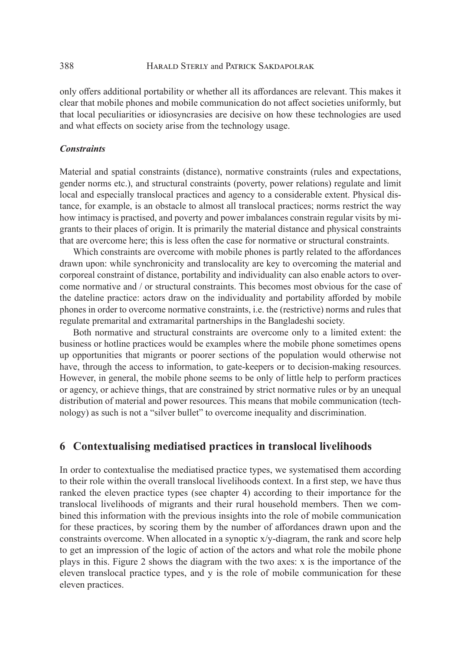only offers additional portability or whether all its affordances are relevant. This makes it clear that mobile phones and mobile communication do not affect societies uniformly, but that local peculiarities or idiosyncrasies are decisive on how these technologies are used and what effects on society arise from the technology usage.

#### *Constraints*

Material and spatial constraints (distance), normative constraints (rules and expectations, gender norms etc.), and structural constraints (poverty, power relations) regulate and limit local and especially translocal practices and agency to a considerable extent. Physical distance, for example, is an obstacle to almost all translocal practices; norms restrict the way how intimacy is practised, and poverty and power imbalances constrain regular visits by migrants to their places of origin. It is primarily the material distance and physical constraints that are overcome here; this is less often the case for normative or structural constraints.

Which constraints are overcome with mobile phones is partly related to the affordances drawn upon: while synchronicity and translocality are key to overcoming the material and corporeal constraint of distance, portability and individuality can also enable actors to overcome normative and / or structural constraints. This becomes most obvious for the case of the dateline practice: actors draw on the individuality and portability afforded by mobile phones in order to overcome normative constraints, i.e. the (restrictive) norms and rules that regulate premarital and extramarital partnerships in the Bangladeshi society.

Both normative and structural constraints are overcome only to a limited extent: the business or hotline practices would be examples where the mobile phone sometimes opens up opportunities that migrants or poorer sections of the population would otherwise not have, through the access to information, to gate-keepers or to decision-making resources. However, in general, the mobile phone seems to be only of little help to perform practices or agency, or achieve things, that are constrained by strict normative rules or by an unequal distribution of material and power resources. This means that mobile communication (technology) as such is not a "silver bullet" to overcome inequality and discrimination.

## **6 Contextualising mediatised practices in translocal livelihoods**

In order to contextualise the mediatised practice types, we systematised them according to their role within the overall translocal livelihoods context. In a first step, we have thus ranked the eleven practice types (see chapter 4) according to their importance for the translocal livelihoods of migrants and their rural household members. Then we combined this information with the previous insights into the role of mobile communication for these practices, by scoring them by the number of affordances drawn upon and the constraints overcome. When allocated in a synoptic x/y-diagram, the rank and score help to get an impression of the logic of action of the actors and what role the mobile phone plays in this. Figure 2 shows the diagram with the two axes: x is the importance of the eleven translocal practice types, and y is the role of mobile communication for these eleven practices.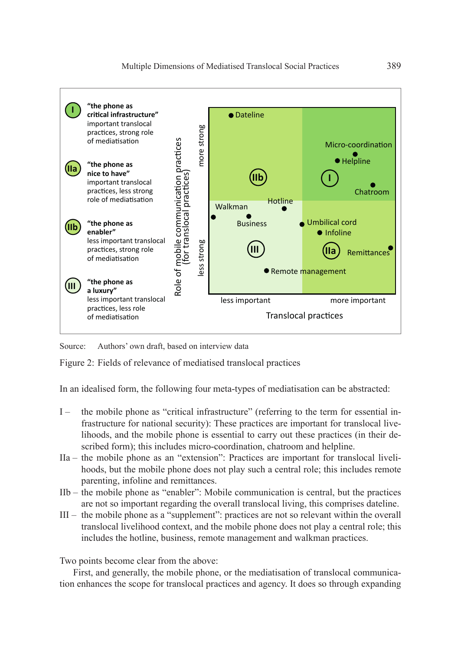

Source: Authors' own draft, based on interview data

Figure 2: Fields of relevance of mediatised translocal practices

In an idealised form, the following four meta-types of mediatisation can be abstracted:

- I the mobile phone as "critical infrastructure" (referring to the term for essential infrastructure for national security): These practices are important for translocal livelihoods, and the mobile phone is essential to carry out these practices (in their described form); this includes micro-coordination, chatroom and helpline.
- IIa the mobile phone as an "extension": Practices are important for translocal livelihoods, but the mobile phone does not play such a central role; this includes remote parenting, infoline and remittances.
- IIb the mobile phone as "enabler": Mobile communication is central, but the practices are not so important regarding the overall translocal living, this comprises dateline.
- III the mobile phone as a "supplement": practices are not so relevant within the overall translocal livelihood context, and the mobile phone does not play a central role; this includes the hotline, business, remote management and walkman practices.

Two points become clear from the above:

First, and generally, the mobile phone, or the mediatisation of translocal communication enhances the scope for translocal practices and agency. It does so through expanding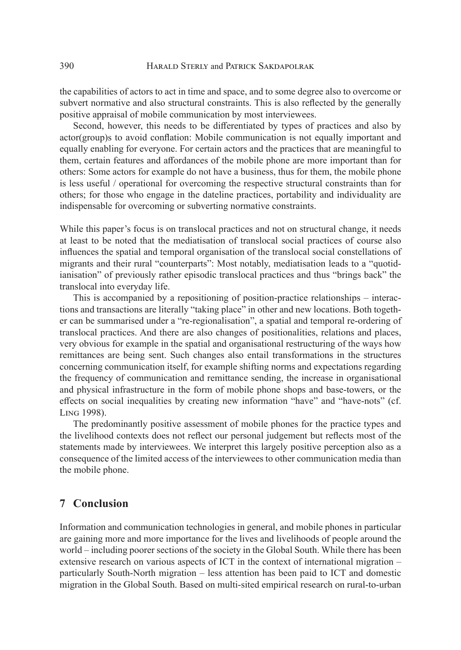the capabilities of actors to act in time and space, and to some degree also to overcome or subvert normative and also structural constraints. This is also reflected by the generally positive appraisal of mobile communication by most interviewees.

Second, however, this needs to be differentiated by types of practices and also by actor(group)s to avoid conflation: Mobile communication is not equally important and equally enabling for everyone. For certain actors and the practices that are meaningful to them, certain features and affordances of the mobile phone are more important than for others: Some actors for example do not have a business, thus for them, the mobile phone is less useful / operational for overcoming the respective structural constraints than for others; for those who engage in the dateline practices, portability and individuality are indispensable for overcoming or subverting normative constraints.

While this paper's focus is on translocal practices and not on structural change, it needs at least to be noted that the mediatisation of translocal social practices of course also influences the spatial and temporal organisation of the translocal social constellations of migrants and their rural "counterparts": Most notably, mediatisation leads to a "quotidianisation" of previously rather episodic translocal practices and thus "brings back" the translocal into everyday life.

This is accompanied by a repositioning of position-practice relationships – interactions and transactions are literally "taking place" in other and new locations. Both together can be summarised under a "re-regionalisation", a spatial and temporal re-ordering of translocal practices. And there are also changes of positionalities, relations and places, very obvious for example in the spatial and organisational restructuring of the ways how remittances are being sent. Such changes also entail transformations in the structures concerning communication itself, for example shifting norms and expectations regarding the frequency of communication and remittance sending, the increase in organisational and physical infrastructure in the form of mobile phone shops and base-towers, or the effects on social inequalities by creating new information "have" and "have-nots" (cf. Ling 1998).

The predominantly positive assessment of mobile phones for the practice types and the livelihood contexts does not reflect our personal judgement but reflects most of the statements made by interviewees. We interpret this largely positive perception also as a consequence of the limited access of the interviewees to other communication media than the mobile phone.

## **7 Conclusion**

Information and communication technologies in general, and mobile phones in particular are gaining more and more importance for the lives and livelihoods of people around the world – including poorer sections of the society in the Global South. While there has been extensive research on various aspects of ICT in the context of international migration – particularly South-North migration – less attention has been paid to ICT and domestic migration in the Global South. Based on multi-sited empirical research on rural-to-urban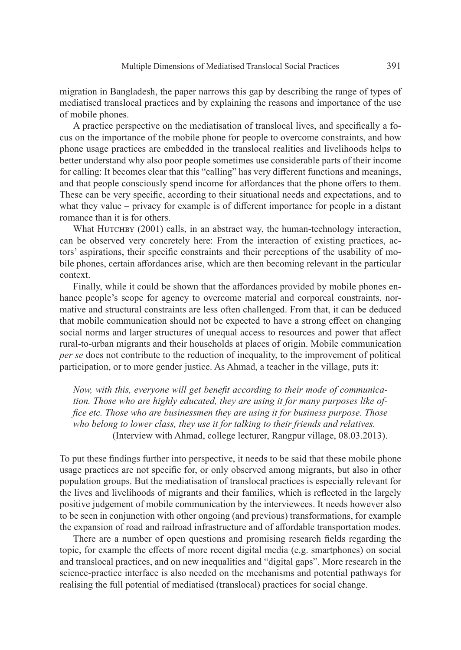migration in Bangladesh, the paper narrows this gap by describing the range of types of mediatised translocal practices and by explaining the reasons and importance of the use of mobile phones.

A practice perspective on the mediatisation of translocal lives, and specifically a focus on the importance of the mobile phone for people to overcome constraints, and how phone usage practices are embedded in the translocal realities and livelihoods helps to better understand why also poor people sometimes use considerable parts of their income for calling: It becomes clear that this "calling" has very different functions and meanings, and that people consciously spend income for affordances that the phone offers to them. These can be very specific, according to their situational needs and expectations, and to what they value – privacy for example is of different importance for people in a distant romance than it is for others.

What HUTCHBY (2001) calls, in an abstract way, the human-technology interaction, can be observed very concretely here: From the interaction of existing practices, actors' aspirations, their specific constraints and their perceptions of the usability of mobile phones, certain affordances arise, which are then becoming relevant in the particular context.

Finally, while it could be shown that the affordances provided by mobile phones enhance people's scope for agency to overcome material and corporeal constraints, normative and structural constraints are less often challenged. From that, it can be deduced that mobile communication should not be expected to have a strong effect on changing social norms and larger structures of unequal access to resources and power that affect rural-to-urban migrants and their households at places of origin. Mobile communication *per se* does not contribute to the reduction of inequality, to the improvement of political participation, or to more gender justice. As Ahmad, a teacher in the village, puts it:

*Now, with this, everyone will get benefit according to their mode of communication. Those who are highly educated, they are using it for many purposes like office etc. Those who are businessmen they are using it for business purpose. Those who belong to lower class, they use it for talking to their friends and relatives.*  (Interview with Ahmad, college lecturer, Rangpur village, 08.03.2013).

To put these findings further into perspective, it needs to be said that these mobile phone usage practices are not specific for, or only observed among migrants, but also in other population groups. But the mediatisation of translocal practices is especially relevant for the lives and livelihoods of migrants and their families, which is reflected in the largely positive judgement of mobile communication by the interviewees. It needs however also to be seen in conjunction with other ongoing (and previous) transformations, for example the expansion of road and railroad infrastructure and of affordable transportation modes.

There are a number of open questions and promising research fields regarding the topic, for example the effects of more recent digital media (e.g. smartphones) on social and translocal practices, and on new inequalities and "digital gaps". More research in the science-practice interface is also needed on the mechanisms and potential pathways for realising the full potential of mediatised (translocal) practices for social change.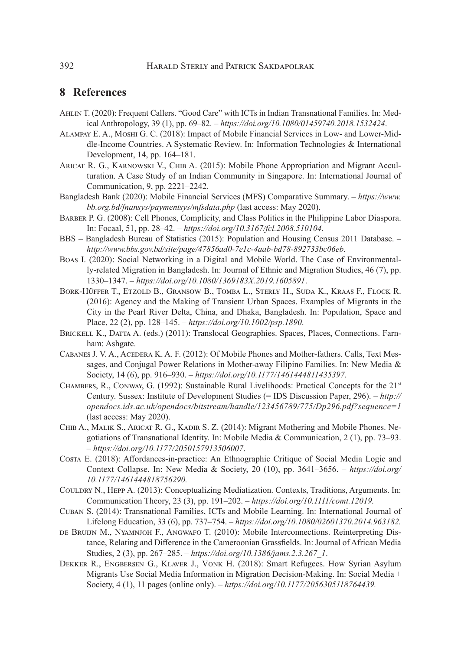## **8 References**

- Ahlin T. (2020): Frequent Callers. "Good Care" with ICTs in Indian Transnational Families. In: Medical Anthropology, 39 (1), pp. 69–82. – *https://doi.org/10.1080/01459740.2018.1532424*.
- Alampay E. A., Moshi G. C. (2018): Impact of Mobile Financial Services in Low- and Lower-Middle-Income Countries. A Systematic Review. In: Information Technologies & International Development, 14, pp. 164–181.
- Aricat R. G., Karnowski V., Chib A. (2015): Mobile Phone Appropriation and Migrant Acculturation. A Case Study of an Indian Community in Singapore. In: International Journal of Communication, 9, pp. 2221–2242.
- Bangladesh Bank (2020): Mobile Financial Services (MFS) Comparative Summary. *[https://www.](https://www.bb.org.bd/fnansys/paymentsys/mfsdata.php) [bb.org.bd/fnansys/paymentsys/mfsdata.php](https://www.bb.org.bd/fnansys/paymentsys/mfsdata.php)* (last access: May 2020).
- Barber P. G. (2008): Cell Phones, Complicity, and Class Politics in the Philippine Labor Diaspora. In: Focaal, 51, pp. 28–42. – *https://doi.org/10.3167/fcl.2008.510104*.
- BBS Bangladesh Bureau of Statistics (2015): Population and Housing Census 2011 Database. *http://www.bbs.gov.bd/site/page/47856ad0-7e1c-4aab-bd78-892733bc06eb*.
- Boas I. (2020): Social Networking in a Digital and Mobile World. The Case of Environmentally-related Migration in Bangladesh. In: Journal of Ethnic and Migration Studies, 46 (7), pp. 1330–1347. – *https://doi.org/10.1080/1369183X.2019.1605891*.
- Bork-Hüffer T., Etzold B., Gransow B., Tomba L., Sterly H., Suda K., Kraas F., Flock R. (2016): Agency and the Making of Transient Urban Spaces. Examples of Migrants in the City in the Pearl River Delta, China, and Dhaka, Bangladesh. In: Population, Space and Place, 22 (2), pp. 128–145. – *https://doi.org/10.1002/psp.1890*.
- BRICKELL K., DATTA A. (eds.) (2011): Translocal Geographies. Spaces, Places, Connections. Farnham: Ashgate.
- Cabanes J. V. A., Acedera K. A. F. (2012): Of Mobile Phones and Mother-fathers. Calls, Text Messages, and Conjugal Power Relations in Mother-away Filipino Families. In: New Media & Society, 14 (6), pp. 916–930. – *https://doi.org/10.1177/1461444811435397.*
- Chambers, R., Conway, G. (1992): Sustainable Rural Livelihoods: Practical Concepts for the 21st Century. Sussex: Institute of Development Studies (= IDS Discussion Paper, 296). – *http:// opendocs.ids.ac.uk/opendocs/bitstream/handle/123456789/775/Dp296.pdf?sequence=1* (last access: May 2020).
- Chib A., Malik S., Aricat R. G., Kadir S. Z. (2014): Migrant Mothering and Mobile Phones. Negotiations of Transnational Identity. In: Mobile Media & Communication, 2 (1), pp. 73–93. – *https://doi.org/10.1177/2050157913506007*.
- Costa E. (2018): Affordances-in-practice: An Ethnographic Critique of Social Media Logic and Context Collapse. In: New Media & Society, 20 (10), pp. 3641–3656. – *[https://doi.org/](https://doi.org/10.1177/1461444818756290)  [10.1177/1461444818756290.](https://doi.org/10.1177/1461444818756290)*
- Couldry N., Hepp A. (2013): Conceptualizing Mediatization. Contexts, Traditions, Arguments. In: Communication Theory, 23 (3), pp. 191–202. – *https://doi.org/10.1111/comt.12019.*
- Cuban S. (2014): Transnational Families, ICTs and Mobile Learning. In: International Journal of Lifelong Education, 33 (6), pp. 737–754. – *https://doi.org/10.1080/02601370.2014.963182.*
- DE BRUIJN M., NYAMNJOH F., ANGWAFO T. (2010): Mobile Interconnections. Reinterpreting Distance, Relating and Difference in the Cameroonian Grassfields. In: Journal of African Media Studies, 2 (3), pp. 267–285. – *https://doi.org/10.1386/jams.2.3.267\_1*.
- Dekker R., Engbersen G., Klaver J., Vonk H. (2018): Smart Refugees. How Syrian Asylum Migrants Use Social Media Information in Migration Decision-Making. In: Social Media + Society, 4 (1), 11 pages (online only). – *https://doi.org/10.1177/2056305118764439.*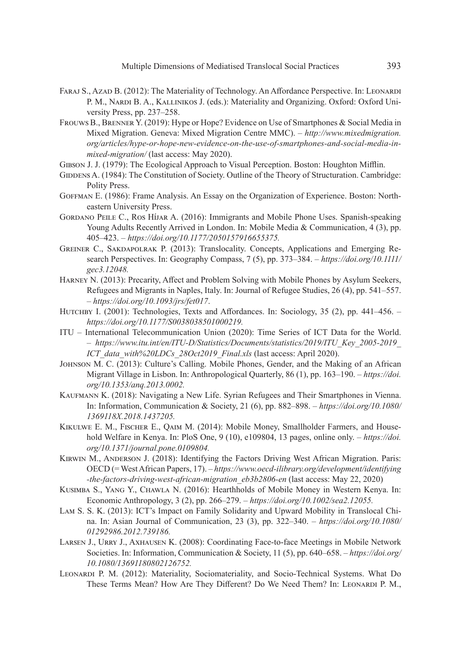- FARAJ S., AZAD B. (2012): The Materiality of Technology. An Affordance Perspective. In: LEONARDI P. M., NARDI B. A., KALLINIKOS J. (eds.): Materiality and Organizing. Oxford: Oxford University Press, pp. 237–258.
- Frouws B., Brenner Y. (2019): Hype or Hope? Evidence on Use of Smartphones & Social Media in Mixed Migration. Geneva: Mixed Migration Centre MMC). – *[http://www.mixedmigration.](http://www.mixedmigration.org/articles/hype-or-hope-new-evidence-on-the-use-of-smartphones-and-social-media-in-mixed-migration/) [org/articles/hype-or-hope-new-evidence-on-the-use-of-smartphones-and-social-media-in](http://www.mixedmigration.org/articles/hype-or-hope-new-evidence-on-the-use-of-smartphones-and-social-media-in-mixed-migration/)mixed-migration*/*(last access: May 2020).*
- Gibson J. J. (1979): The Ecological Approach to Visual Perception. Boston: Houghton Mifflin.
- GIDDENS A. (1984): The Constitution of Society. Outline of the Theory of Structuration. Cambridge: Polity Press.
- Goffman E. (1986): Frame Analysis. An Essay on the Organization of Experience. Boston: Northeastern University Press.
- Gordano Peile C., Ros Híjar A. (2016): Immigrants and Mobile Phone Uses. Spanish-speaking Young Adults Recently Arrived in London. In: Mobile Media & Communication, 4 (3), pp. 405–423. – *https://doi.org/10.1177/2050157916655375.*
- Greiner C., Sakdapolrak P. (2013): Translocality. Concepts, Applications and Emerging Research Perspectives. In: Geography Compass, 7 (5), pp. 373–384. – *[https://doi.org/10.1111/](https://doi.org/10.1111/gec3.12048) [gec3.12048](https://doi.org/10.1111/gec3.12048).*
- Harney N. (2013): Precarity, Affect and Problem Solving with Mobile Phones by Asylum Seekers, Refugees and Migrants in Naples, Italy. In: Journal of Refugee Studies, 26 (4), pp. 541–557. – *https://doi.org/10.1093/jrs/fet017*.
- HUTCHBY I. (2001): Technologies, Texts and Affordances. In: Sociology, 35 (2), pp. 441–456. *https://doi.org/10.1177/S0038038501000219.*
- ITU International Telecommunication Union (2020): Time Series of ICT Data for the World. – *[https://www.itu.int/en/ITU-D/Statistics/Documents/statistics/2019/ITU\\_Key\\_2005-2019\\_](https://www.itu.int/en/ITU-D/Statistics/Documents/statistics/2019/ITU_Key_2005-2019_ICT_data_with%20LDCs_28Oct2019_Final.xls) [ICT\\_data\\_with%20LDCs\\_28Oct2019\\_Final.xls](https://www.itu.int/en/ITU-D/Statistics/Documents/statistics/2019/ITU_Key_2005-2019_ICT_data_with%20LDCs_28Oct2019_Final.xls)* (last access: April 2020).
- Johnson M. C. (2013): Culture's Calling. Mobile Phones, Gender, and the Making of an African Migrant Village in Lisbon. In: Anthropological Quarterly, 86 (1), pp. 163–190. – *[https://doi.](https://doi.org/10.1353/anq.2013.0002) [org/10.1353/anq.2013.0002](https://doi.org/10.1353/anq.2013.0002).*
- KAUFMANN K. (2018): Navigating a New Life. Syrian Refugees and Their Smartphones in Vienna. In: Information, Communication & Society, 21 (6), pp. 882–898. – *[https://doi.org/10.1080/](https://doi.org/10.1080/1369118X.2018.1437205)  [1369118X.2018.1437205](https://doi.org/10.1080/1369118X.2018.1437205).*
- Kikulwe E. M., Fischer E., Qaim M. (2014): Mobile Money, Smallholder Farmers, and Household Welfare in Kenya. In: PloS One, 9 (10), e109804, 13 pages, online only. – *[https://doi.](https://doi.org/10.1371/journal.pone.0109804) [org/10.1371/journal.pone.0109804](https://doi.org/10.1371/journal.pone.0109804).*
- KIRWIN M., ANDERSON J. (2018): Identifying the Factors Driving West African Migration. Paris: OECD (= West African Papers, 17). – *[https://www.oecd-ilibrary.org/development/identifying](https://www.oecd-ilibrary.org/development/identifying-the-factors-driving-west-african-migration_eb3b2806-en) [-the-factors-driving-west-african-migration\\_eb3b2806-en](https://www.oecd-ilibrary.org/development/identifying-the-factors-driving-west-african-migration_eb3b2806-en)* (last access: May 22, 2020)
- Kusimba S., Yang Y., Chawla N. (2016): Hearthholds of Mobile Money in Western Kenya. In: Economic Anthropology, 3 (2), pp. 266–279. – *https://doi.org/10.1002/sea2.12055.*
- Lam S. S. K. (2013): ICT's Impact on Family Solidarity and Upward Mobility in Translocal China. In: Asian Journal of Communication, 23 (3), pp. 322–340. – *[https://doi.org/10.1080/](https://doi.org/10.1080/01292986.2012.739186)  [01292986.2012.739186](https://doi.org/10.1080/01292986.2012.739186).*
- Larsen J., Urry J., Axhausen K. (2008): Coordinating Face-to-face Meetings in Mobile Network Societies. In: Information, Communication & Society, 11 (5), pp. 640–658. – *[https://doi.org/](https://doi.org/10.1080/13691180802126752)  [10.1080/13691180802126752](https://doi.org/10.1080/13691180802126752).*
- Leonardi P. M. (2012): Materiality, Sociomateriality, and Socio-Technical Systems. What Do These Terms Mean? How Are They Different? Do We Need Them? In: Leonardi P. M.,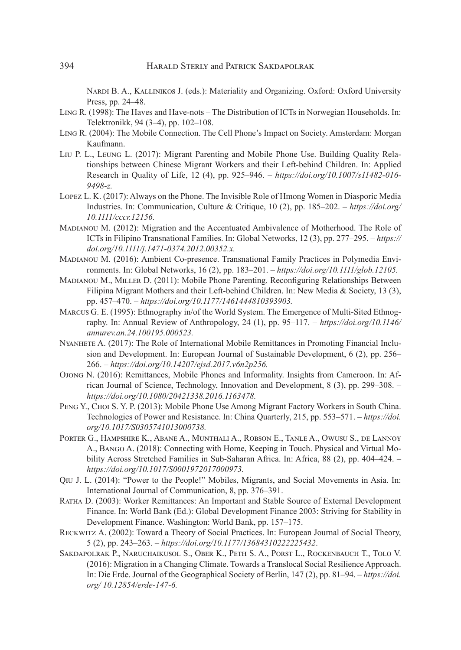NARDI B. A., KALLINIKOS J. (eds.): Materiality and Organizing. Oxford: Oxford University Press, pp. 24–48.

- Ling R. (1998): The Haves and Have-nots The Distribution of ICTs in Norwegian Households. In: Telektronikk, 94 (3–4), pp. 102–108.
- Ling R. (2004): The Mobile Connection. The Cell Phone's Impact on Society. Amsterdam: Morgan Kaufmann.
- Liu P. L., Leung L. (2017): Migrant Parenting and Mobile Phone Use. Building Quality Relationships between Chinese Migrant Workers and their Left-behind Children. In: Applied Research in Quality of Life, 12 (4), pp. 925–946. – *[https://doi.org/10.1007/s11482-016-](https://doi.org/10.1007/s11482-016-9498-z) [9498-z](https://doi.org/10.1007/s11482-016-9498-z).*
- Lopez L. K. (2017): Always on the Phone. The Invisible Role of Hmong Women in Diasporic Media Industries. In: Communication, Culture & Critique, 10 (2), pp. 185–202. – *[https://doi.org/](https://doi.org/10.1111/cccr.12156)  [10.1111/cccr.12156.](https://doi.org/10.1111/cccr.12156)*
- Madianou M. (2012): Migration and the Accentuated Ambivalence of Motherhood. The Role of ICTs in Filipino Transnational Families. In: Global Networks, 12 (3), pp. 277–295. – *[https://](https://doi.org/10.1111/j.1471-0374.2012.00352.x) [doi.org/10.1111/j.1471-0374.2012.00352.x.](https://doi.org/10.1111/j.1471-0374.2012.00352.x)*
- Madianou M. (2016): Ambient Co-presence. Transnational Family Practices in Polymedia Environments. In: Global Networks, 16 (2), pp. 183–201. – *https://doi.org/10.1111/glob.12105.*
- Madianou M., Miller D. (2011): Mobile Phone Parenting. Reconfiguring Relationships Between Filipina Migrant Mothers and their Left-behind Children. In: New Media & Society, 13 (3), pp. 457–470. – *https://doi.org/10.1177/1461444810393903.*
- Marcus G. E. (1995): Ethnography in/of the World System. The Emergence of Multi-Sited Ethnography. In: Annual Review of Anthropology, 24 (1), pp. 95–117. – *[https://doi.org/10.1146/](https://doi.org/10.1146/annurev.an.24.100195.000523) [annurev.an.24.100195.000523](https://doi.org/10.1146/annurev.an.24.100195.000523).*
- Nyanhete A. (2017): The Role of International Mobile Remittances in Promoting Financial Inclusion and Development. In: European Journal of Sustainable Development, 6 (2), pp. 256– 266. – *https://doi.org/10.14207/ejsd.2017.v6n2p256.*
- Ojong N. (2016): Remittances, Mobile Phones and Informality. Insights from Cameroon. In: African Journal of Science, Technology, Innovation and Development, 8 (3), pp. 299–308. – *https://doi.org/10.1080/20421338.2016.1163478.*
- PENG Y., CHOI S. Y. P. (2013): Mobile Phone Use Among Migrant Factory Workers in South China. Technologies of Power and Resistance. In: China Quarterly, 215, pp. 553–571. – *[https://doi.](https://doi.org/10.1017/S0305741013000738) [org/10.1017/S0305741013000738.](https://doi.org/10.1017/S0305741013000738)*
- Porter G., Hampshire K., Abane A., Munthali A., Robson E., Tanle A., Owusu S., de Lannoy A., Bango A. (2018): Connecting with Home, Keeping in Touch. Physical and Virtual Mobility Across Stretched Families in Sub-Saharan Africa. In: Africa, 88 (2), pp. 404–424. – *https://doi.org/10.1017/S0001972017000973.*
- Qiu J. L. (2014): "Power to the People!" Mobiles, Migrants, and Social Movements in Asia. In: International Journal of Communication, 8, pp. 376–391.
- Ratha D. (2003): Worker Remittances: An Important and Stable Source of External Development Finance. In: World Bank (Ed.): Global Development Finance 2003: Striving for Stability in Development Finance. Washington: World Bank, pp. 157–175.
- Reckwitz A. (2002): Toward a Theory of Social Practices. In: European Journal of Social Theory, 5 (2), pp. 243–263. – *https://doi.org/10.1177/13684310222225432*.
- Sakdapolrak P., Naruchaikusol S., Ober K., Peth S. A., Porst L., Rockenbauch T., Tolo V. (2016): Migration in a Changing Climate. Towards a Translocal Social Resilience Approach. In: Die Erde. Journal of the Geographical Society of Berlin, 147 (2), pp. 81–94. – *[https://doi.](https://doi.org/10.12854/erde-147-6) [org/ 10.12854/erde-147-6.](https://doi.org/10.12854/erde-147-6)*